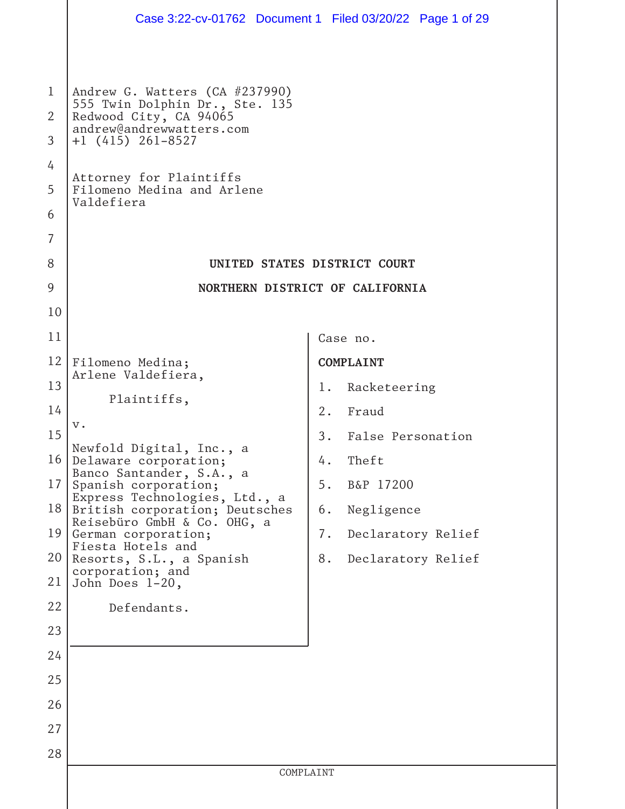|                                            |                                                                                                                                                                                                                      | Case 3:22-cv-01762 Document 1 Filed 03/20/22 Page 1 of 29 |
|--------------------------------------------|----------------------------------------------------------------------------------------------------------------------------------------------------------------------------------------------------------------------|-----------------------------------------------------------|
| $\mathbf{1}$<br>2<br>3<br>4<br>5<br>6<br>7 | Andrew G. Watters (CA #237990)<br>555 Twin Dolphin Dr., Ste. 135<br>Redwood City, CA 94065<br>andrew@andrewwatters.com<br>$+1$ (415) 261-8527<br>Attorney for Plaintiffs<br>Filomeno Medina and Arlene<br>Valdefiera |                                                           |
| 8                                          |                                                                                                                                                                                                                      | UNITED STATES DISTRICT COURT                              |
| 9                                          |                                                                                                                                                                                                                      | NORTHERN DISTRICT OF CALIFORNIA                           |
| 10                                         |                                                                                                                                                                                                                      |                                                           |
| 11                                         |                                                                                                                                                                                                                      | Case no.                                                  |
| 12                                         | Filomeno Medina;                                                                                                                                                                                                     | <b>COMPLAINT</b>                                          |
| 13                                         | Arlene Valdefiera,                                                                                                                                                                                                   | Racketeering<br>1.                                        |
| 14                                         | Plaintiffs,                                                                                                                                                                                                          | 2.<br>Fraud                                               |
| 15                                         | $V \cdot$                                                                                                                                                                                                            | 3.<br>False Personation                                   |
| 16 <sup>1</sup>                            | Newfold Digital, Inc., a<br>Delaware corporation;                                                                                                                                                                    | Theft<br>4.                                               |
| 17                                         | Banco Santander, S.A., a<br>Spanish corporation;                                                                                                                                                                     | 5.<br>B&P 17200                                           |
| 18                                         | Express Technologies, Ltd., a<br>British corporation; Deutsches                                                                                                                                                      | Negligence<br>6.                                          |
| 19                                         | Reisebüro GmbH & Co. OHG, a<br>German corporation;                                                                                                                                                                   | 7.<br>Declaratory Relief                                  |
| 20                                         | Fiesta Hotels and<br>Resorts, S.L., a Spanish                                                                                                                                                                        | 8.<br>Declaratory Relief                                  |
| 21                                         | corporation; and<br>John Does 1-20,                                                                                                                                                                                  |                                                           |
| 22                                         | Defendants.                                                                                                                                                                                                          |                                                           |
| 23                                         |                                                                                                                                                                                                                      |                                                           |
| 24                                         |                                                                                                                                                                                                                      |                                                           |
| 25                                         |                                                                                                                                                                                                                      |                                                           |
| 26                                         |                                                                                                                                                                                                                      |                                                           |
| 27                                         |                                                                                                                                                                                                                      |                                                           |
| 28                                         |                                                                                                                                                                                                                      |                                                           |
|                                            |                                                                                                                                                                                                                      | COMPLAINT                                                 |
|                                            |                                                                                                                                                                                                                      |                                                           |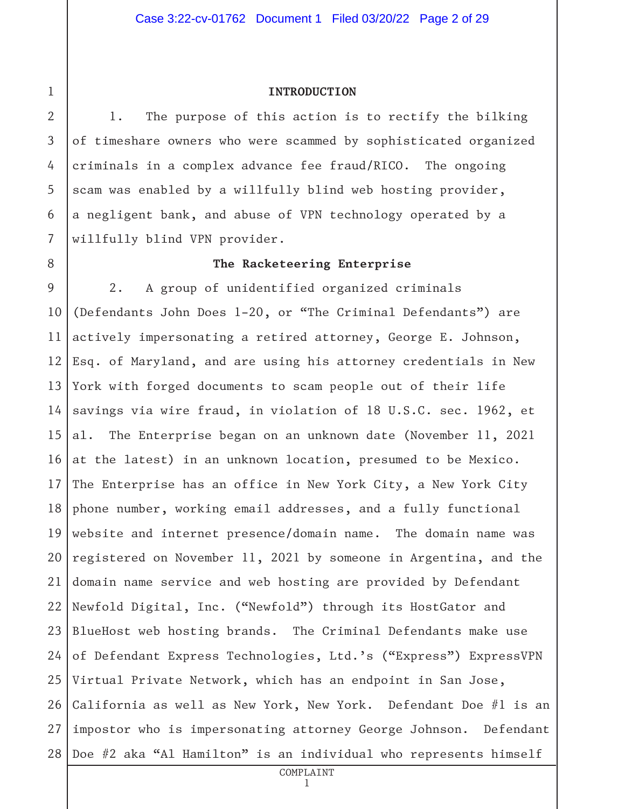## 2

3

4

5

6

7

8

9

10

11

12

13

14

15

16

17

18

19

20

21

22

23

24

25

26

1

#### **INTRODUCTION**

1. The purpose of this action is to rectify the bilking of timeshare owners who were scammed by sophisticated organized criminals in a complex advance fee fraud/RICO. The ongoing scam was enabled by a willfully blind web hosting provider, a negligent bank, and abuse of VPN technology operated by a willfully blind VPN provider.

2. A group of unidentified organized criminals

**The Racketeering Enterprise**

(Defendants John Does 1-20, or "The Criminal Defendants") are actively impersonating a retired attorney, George E. Johnson, Esq. of Maryland, and are using his attorney credentials in New York with forged documents to scam people out of their life savings via wire fraud, in violation of 18 U.S.C. sec. 1962, et al. The Enterprise began on an unknown date (November 11, 2021 at the latest) in an unknown location, presumed to be Mexico. The Enterprise has an office in New York City, a New York City phone number, working email addresses, and a fully functional website and internet presence/domain name. The domain name was registered on November 11, 2021 by someone in Argentina, and the domain name service and web hosting are provided by Defendant Newfold Digital, Inc. ("Newfold") through its HostGator and BlueHost web hosting brands. The Criminal Defendants make use of Defendant Express Technologies, Ltd.'s ("Express") ExpressVPN Virtual Private Network, which has an endpoint in San Jose, California as well as New York, New York. Defendant Doe #1 is an

27 28 impostor who is impersonating attorney George Johnson. Defendant Doe #2 aka "Al Hamilton" is an individual who represents himself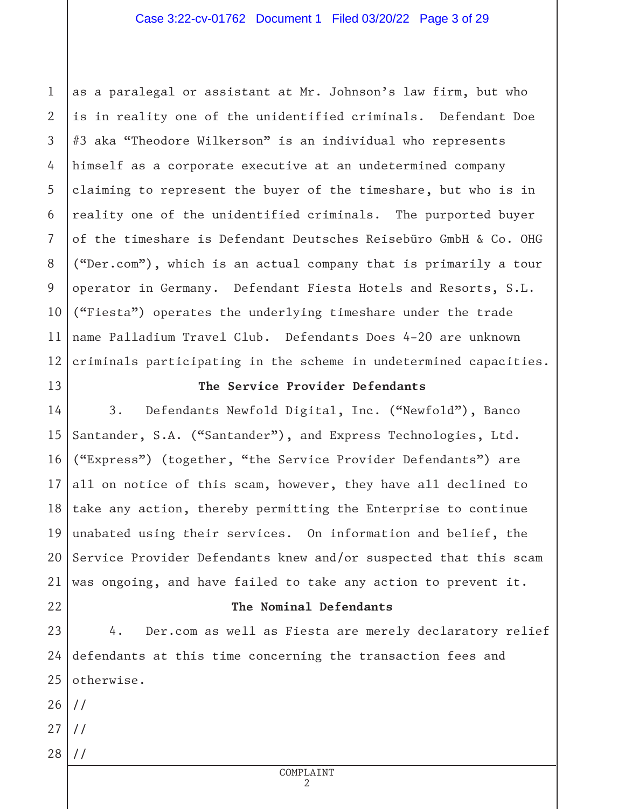1 2 3 4 5 6 7 8 9 10 11 12 as a paralegal or assistant at Mr. Johnson's law firm, but who is in reality one of the unidentified criminals. Defendant Doe #3 aka "Theodore Wilkerson" is an individual who represents himself as a corporate executive at an undetermined company claiming to represent the buyer of the timeshare, but who is in reality one of the unidentified criminals. The purported buyer of the timeshare is Defendant Deutsches Reisebüro GmbH & Co. OHG ("Der.com"), which is an actual company that is primarily a tour operator in Germany. Defendant Fiesta Hotels and Resorts, S.L. ("Fiesta") operates the underlying timeshare under the trade name Palladium Travel Club. Defendants Does 4-20 are unknown criminals participating in the scheme in undetermined capacities.

13

#### **The Service Provider Defendants**

14 15 16 17 18 19 20 21 3. Defendants Newfold Digital, Inc. ("Newfold"), Banco Santander, S.A. ("Santander"), and Express Technologies, Ltd. ("Express") (together, "the Service Provider Defendants") are all on notice of this scam, however, they have all declined to take any action, thereby permitting the Enterprise to continue unabated using their services. On information and belief, the Service Provider Defendants knew and/or suspected that this scam was ongoing, and have failed to take any action to prevent it.

#### **The Nominal Defendants**

23 24 25 4. Der.com as well as Fiesta are merely declaratory relief defendants at this time concerning the transaction fees and otherwise.

26 //

22

- 27 //
- 28 //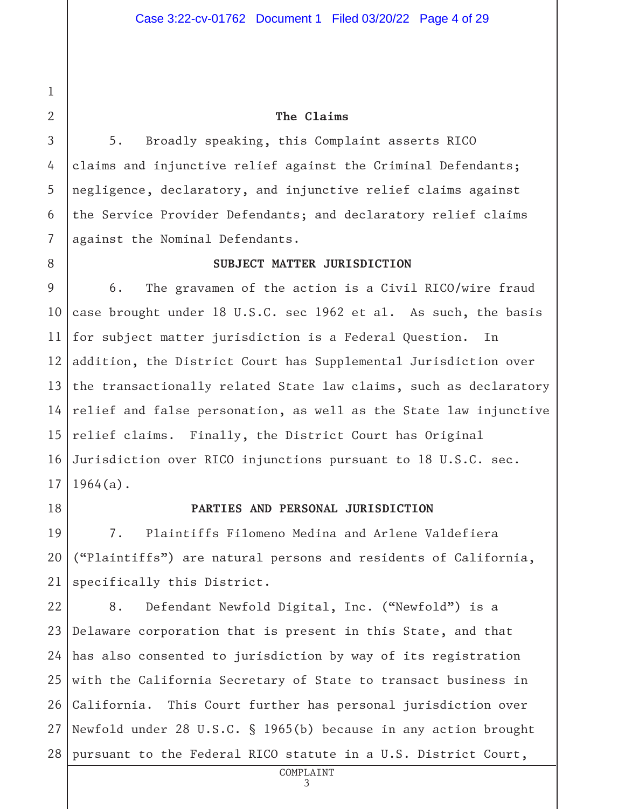**The Claims**

5. Broadly speaking, this Complaint asserts RICO claims and injunctive relief against the Criminal Defendants; negligence, declaratory, and injunctive relief claims against the Service Provider Defendants; and declaratory relief claims against the Nominal Defendants.

**SUBJECT MATTER JURISDICTION**

10 11 12 13 14 15 16 17 6. The gravamen of the action is a Civil RICO/wire fraud case brought under 18 U.S.C. sec 1962 et al. As such, the basis for subject matter jurisdiction is a Federal Question. In addition, the District Court has Supplemental Jurisdiction over the transactionally related State law claims, such as declaratory relief and false personation, as well as the State law injunctive relief claims. Finally, the District Court has Original Jurisdiction over RICO injunctions pursuant to 18 U.S.C. sec. 1964(a).

18

#### **PARTIES AND PERSONAL JURISDICTION**

19 20 21 7. Plaintiffs Filomeno Medina and Arlene Valdefiera ("Plaintiffs") are natural persons and residents of California, specifically this District.

22 23 24 25 26 27 28 8. Defendant Newfold Digital, Inc. ("Newfold") is a Delaware corporation that is present in this State, and that has also consented to jurisdiction by way of its registration with the California Secretary of State to transact business in California. This Court further has personal jurisdiction over Newfold under 28 U.S.C. § 1965(b) because in any action brought pursuant to the Federal RICO statute in a U.S. District Court,

1

2

3

4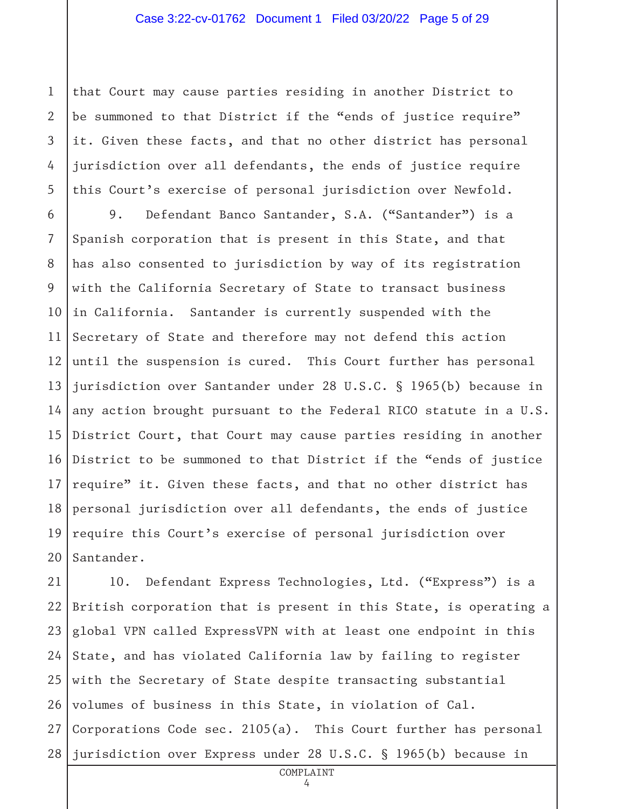1 2 3 4 5 that Court may cause parties residing in another District to be summoned to that District if the "ends of justice require" it. Given these facts, and that no other district has personal jurisdiction over all defendants, the ends of justice require this Court's exercise of personal jurisdiction over Newfold.

6 7 8 9 10 11 12 13 14 15 16 17 18 19 20 9. Defendant Banco Santander, S.A. ("Santander") is a Spanish corporation that is present in this State, and that has also consented to jurisdiction by way of its registration with the California Secretary of State to transact business in California. Santander is currently suspended with the Secretary of State and therefore may not defend this action until the suspension is cured. This Court further has personal jurisdiction over Santander under 28 U.S.C. § 1965(b) because in any action brought pursuant to the Federal RICO statute in a U.S. District Court, that Court may cause parties residing in another District to be summoned to that District if the "ends of justice require" it. Given these facts, and that no other district has personal jurisdiction over all defendants, the ends of justice require this Court's exercise of personal jurisdiction over Santander.

21 22 23 24 25 26 27 28 10. Defendant Express Technologies, Ltd. ("Express") is a British corporation that is present in this State, is operating a global VPN called ExpressVPN with at least one endpoint in this State, and has violated California law by failing to register with the Secretary of State despite transacting substantial volumes of business in this State, in violation of Cal. Corporations Code sec. 2105(a). This Court further has personal jurisdiction over Express under 28 U.S.C. § 1965(b) because in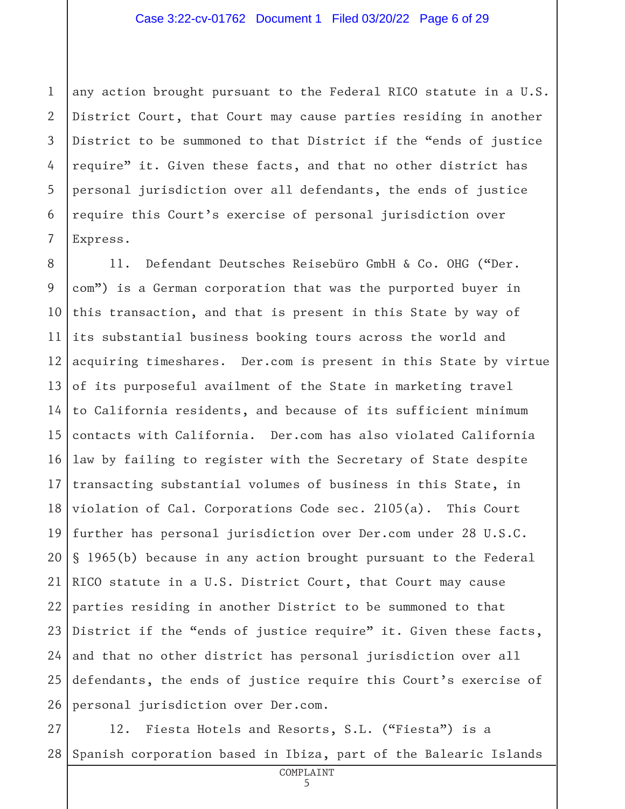1 2 3 4 5 6 7 any action brought pursuant to the Federal RICO statute in a U.S. District Court, that Court may cause parties residing in another District to be summoned to that District if the "ends of justice require" it. Given these facts, and that no other district has personal jurisdiction over all defendants, the ends of justice require this Court's exercise of personal jurisdiction over Express.

8 9 10 11 12 13 14 15 16 17 18 19 20 21 22 23 24 25 26 11. Defendant Deutsches Reisebüro GmbH & Co. OHG ("Der. com") is a German corporation that was the purported buyer in this transaction, and that is present in this State by way of its substantial business booking tours across the world and acquiring timeshares. Der.com is present in this State by virtue of its purposeful availment of the State in marketing travel to California residents, and because of its sufficient minimum contacts with California. Der.com has also violated California law by failing to register with the Secretary of State despite transacting substantial volumes of business in this State, in violation of Cal. Corporations Code sec. 2105(a). This Court further has personal jurisdiction over Der.com under 28 U.S.C. § 1965(b) because in any action brought pursuant to the Federal RICO statute in a U.S. District Court, that Court may cause parties residing in another District to be summoned to that District if the "ends of justice require" it. Given these facts, and that no other district has personal jurisdiction over all defendants, the ends of justice require this Court's exercise of personal jurisdiction over Der.com.

27 28 12. Fiesta Hotels and Resorts, S.L. ("Fiesta") is a Spanish corporation based in Ibiza, part of the Balearic Islands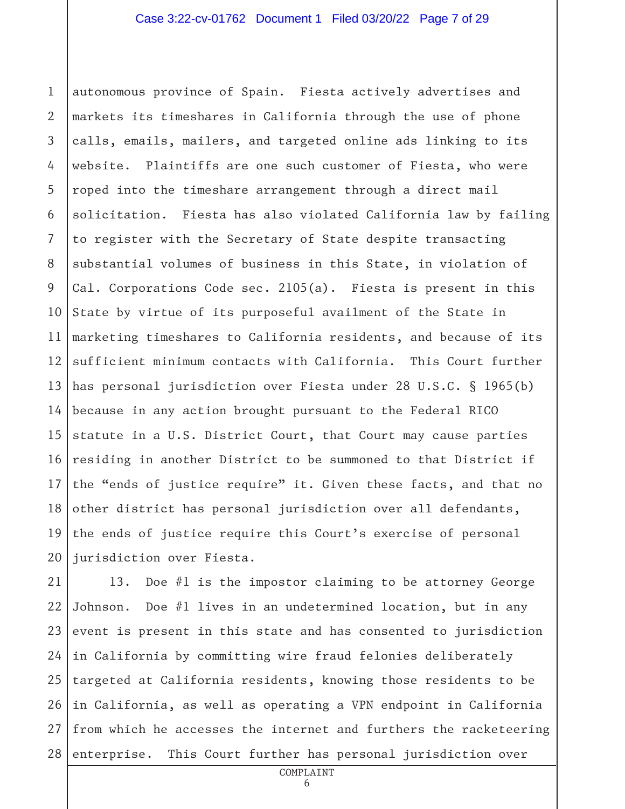1 2 3 4 5 6 7 8 9 10 11 12 13 14 15 16 17 18 19 20 autonomous province of Spain. Fiesta actively advertises and markets its timeshares in California through the use of phone calls, emails, mailers, and targeted online ads linking to its website. Plaintiffs are one such customer of Fiesta, who were roped into the timeshare arrangement through a direct mail solicitation. Fiesta has also violated California law by failing to register with the Secretary of State despite transacting substantial volumes of business in this State, in violation of Cal. Corporations Code sec. 2105(a). Fiesta is present in this State by virtue of its purposeful availment of the State in marketing timeshares to California residents, and because of its sufficient minimum contacts with California. This Court further has personal jurisdiction over Fiesta under 28 U.S.C. § 1965(b) because in any action brought pursuant to the Federal RICO statute in a U.S. District Court, that Court may cause parties residing in another District to be summoned to that District if the "ends of justice require" it. Given these facts, and that no other district has personal jurisdiction over all defendants, the ends of justice require this Court's exercise of personal jurisdiction over Fiesta.

21 22 23 24 25 26 27 28 13. Doe #1 is the impostor claiming to be attorney George Johnson. Doe #1 lives in an undetermined location, but in any event is present in this state and has consented to jurisdiction in California by committing wire fraud felonies deliberately targeted at California residents, knowing those residents to be in California, as well as operating a VPN endpoint in California from which he accesses the internet and furthers the racketeering enterprise. This Court further has personal jurisdiction over

COMPLAINT

6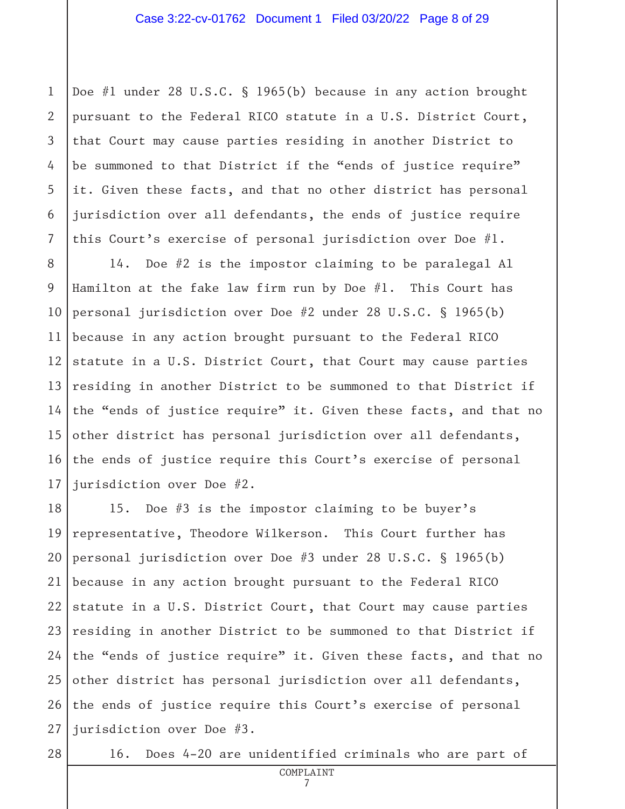1 2 3 4 5 6 7 Doe #1 under 28 U.S.C. § 1965(b) because in any action brought pursuant to the Federal RICO statute in a U.S. District Court, that Court may cause parties residing in another District to be summoned to that District if the "ends of justice require" it. Given these facts, and that no other district has personal jurisdiction over all defendants, the ends of justice require this Court's exercise of personal jurisdiction over Doe #1.

8 9 10 11 12 13 14 15 16 17 14. Doe #2 is the impostor claiming to be paralegal Al Hamilton at the fake law firm run by Doe  $#1$ . This Court has personal jurisdiction over Doe #2 under 28 U.S.C. § 1965(b) because in any action brought pursuant to the Federal RICO statute in a U.S. District Court, that Court may cause parties residing in another District to be summoned to that District if the "ends of justice require" it. Given these facts, and that no other district has personal jurisdiction over all defendants, the ends of justice require this Court's exercise of personal jurisdiction over Doe #2.

18 19 20 21 22 23 24 25 26 27 15. Doe #3 is the impostor claiming to be buyer's representative, Theodore Wilkerson. This Court further has personal jurisdiction over Doe #3 under 28 U.S.C. § 1965(b) because in any action brought pursuant to the Federal RICO statute in a U.S. District Court, that Court may cause parties residing in another District to be summoned to that District if the "ends of justice require" it. Given these facts, and that no other district has personal jurisdiction over all defendants, the ends of justice require this Court's exercise of personal jurisdiction over Doe #3.

16. Does 4-20 are unidentified criminals who are part of

<sup>28</sup>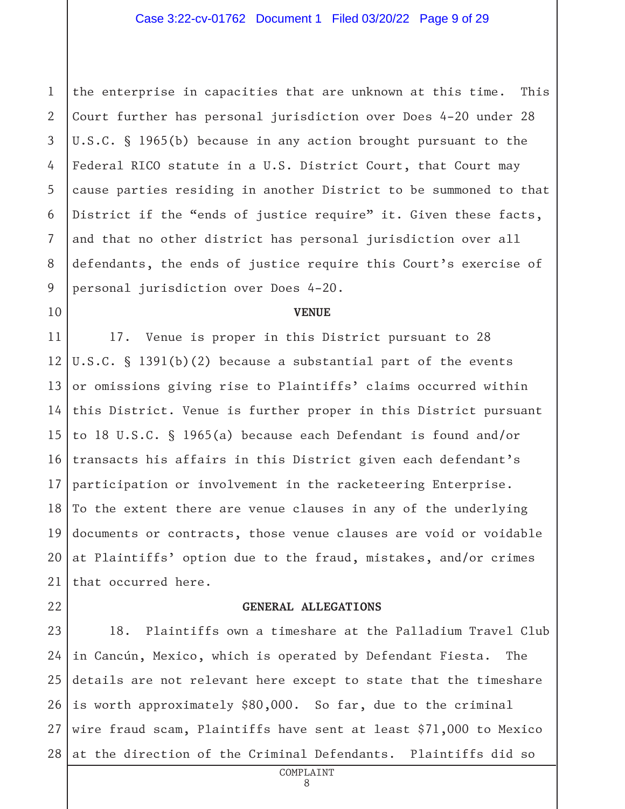1 2 3 4 5 6 7 8 9 the enterprise in capacities that are unknown at this time. This Court further has personal jurisdiction over Does 4-20 under 28 U.S.C. § 1965(b) because in any action brought pursuant to the Federal RICO statute in a U.S. District Court, that Court may cause parties residing in another District to be summoned to that District if the "ends of justice require" it. Given these facts, and that no other district has personal jurisdiction over all defendants, the ends of justice require this Court's exercise of personal jurisdiction over Does 4-20.

#### **VENUE**

11 12 13 14 15 16 17 18 19 20 21 17. Venue is proper in this District pursuant to 28 U.S.C. § 1391(b)(2) because a substantial part of the events or omissions giving rise to Plaintiffs' claims occurred within this District. Venue is further proper in this District pursuant to 18 U.S.C. § 1965(a) because each Defendant is found and/or transacts his affairs in this District given each defendant's participation or involvement in the racketeering Enterprise. To the extent there are venue clauses in any of the underlying documents or contracts, those venue clauses are void or voidable at Plaintiffs' option due to the fraud, mistakes, and/or crimes that occurred here.

22

10

#### **GENERAL ALLEGATIONS**

23 24 25 26 27 28 18. Plaintiffs own a timeshare at the Palladium Travel Club in Cancún, Mexico, which is operated by Defendant Fiesta. The details are not relevant here except to state that the timeshare is worth approximately \$80,000. So far, due to the criminal wire fraud scam, Plaintiffs have sent at least \$71,000 to Mexico at the direction of the Criminal Defendants. Plaintiffs did so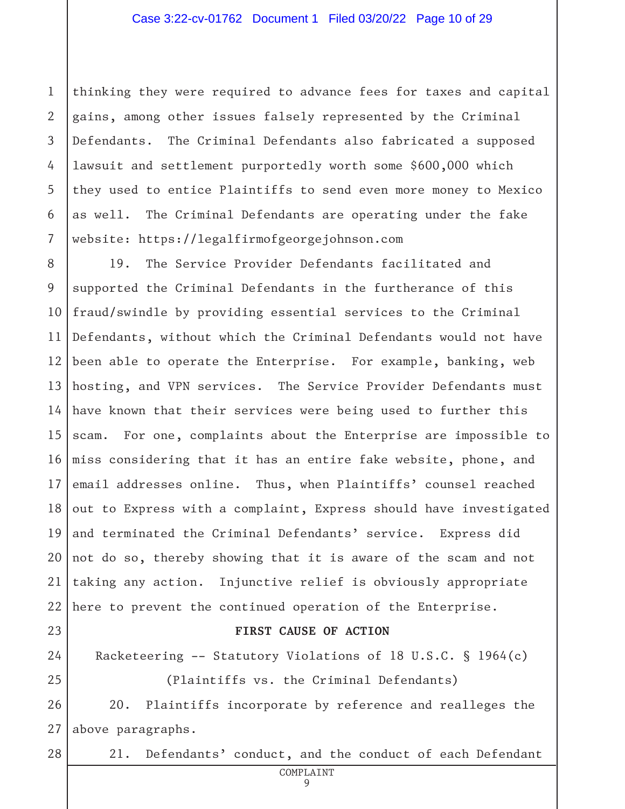1 2 3 4 5 6 7 thinking they were required to advance fees for taxes and capital gains, among other issues falsely represented by the Criminal Defendants. The Criminal Defendants also fabricated a supposed lawsuit and settlement purportedly worth some \$600,000 which they used to entice Plaintiffs to send even more money to Mexico as well. The Criminal Defendants are operating under the fake website: https://legalfirmofgeorgejohnson.com

8 9 10 11 12 13 14 15 16 17 18 19 20 21 22 19. The Service Provider Defendants facilitated and supported the Criminal Defendants in the furtherance of this fraud/swindle by providing essential services to the Criminal Defendants, without which the Criminal Defendants would not have been able to operate the Enterprise. For example, banking, web hosting, and VPN services. The Service Provider Defendants must have known that their services were being used to further this scam. For one, complaints about the Enterprise are impossible to miss considering that it has an entire fake website, phone, and email addresses online. Thus, when Plaintiffs' counsel reached out to Express with a complaint, Express should have investigated and terminated the Criminal Defendants' service. Express did not do so, thereby showing that it is aware of the scam and not taking any action. Injunctive relief is obviously appropriate here to prevent the continued operation of the Enterprise.

### 23

#### **FIRST CAUSE OF ACTION**

24 25 Racketeering -- Statutory Violations of 18 U.S.C. § 1964(c) (Plaintiffs vs. the Criminal Defendants)

26 27 20. Plaintiffs incorporate by reference and realleges the above paragraphs.

- 28
- 21. Defendants' conduct, and the conduct of each Defendant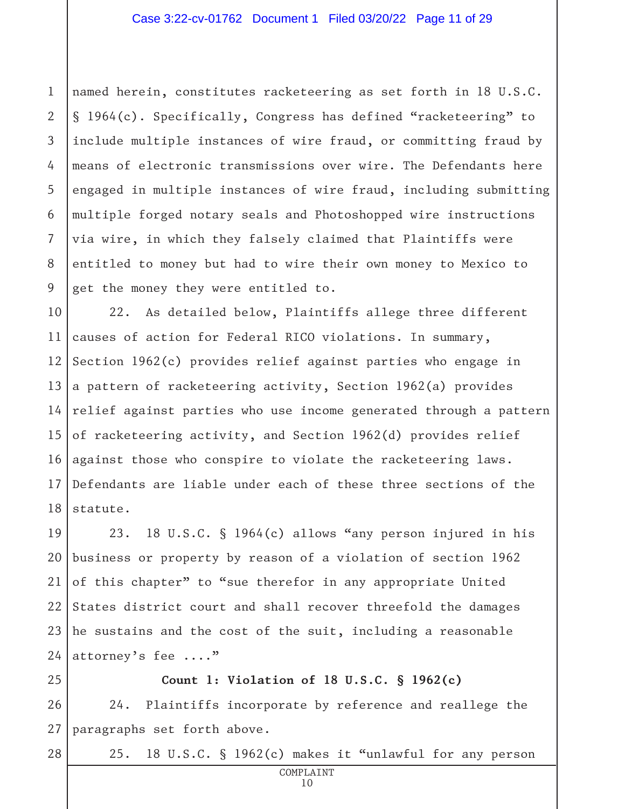1 2 3 4 5 6 7 8 9 named herein, constitutes racketeering as set forth in 18 U.S.C. § 1964(c). Specifically, Congress has defined "racketeering" to include multiple instances of wire fraud, or committing fraud by means of electronic transmissions over wire. The Defendants here engaged in multiple instances of wire fraud, including submitting multiple forged notary seals and Photoshopped wire instructions via wire, in which they falsely claimed that Plaintiffs were entitled to money but had to wire their own money to Mexico to get the money they were entitled to.

10 11 12 13 14 15 16 17 18 22. As detailed below, Plaintiffs allege three different causes of action for Federal RICO violations. In summary, Section 1962(c) provides relief against parties who engage in a pattern of racketeering activity, Section 1962(a) provides relief against parties who use income generated through a pattern of racketeering activity, and Section 1962(d) provides relief against those who conspire to violate the racketeering laws. Defendants are liable under each of these three sections of the statute.

19 20 21 22 23 24 23. 18 U.S.C. § 1964(c) allows "any person injured in his business or property by reason of a violation of section 1962 of this chapter" to "sue therefor in any appropriate United States district court and shall recover threefold the damages he sustains and the cost of the suit, including a reasonable attorney's fee ...."

25 26 27 **Count 1: Violation of 18 U.S.C. § 1962(c)** 24. Plaintiffs incorporate by reference and reallege the paragraphs set forth above.

28

25. 18 U.S.C. § 1962(c) makes it "unlawful for any person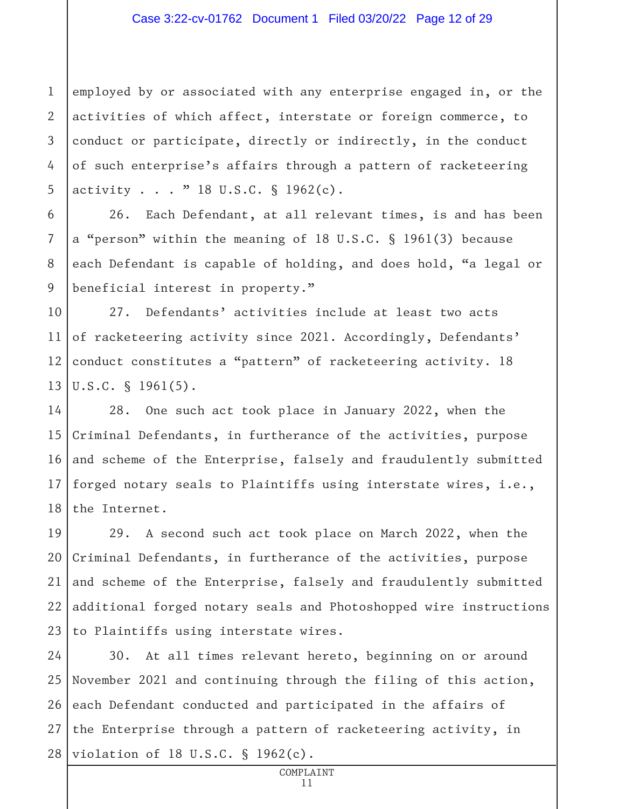#### Case 3:22-cv-01762 Document 1 Filed 03/20/22 Page 12 of 29

1 2 3 4 5 employed by or associated with any enterprise engaged in, or the activities of which affect, interstate or foreign commerce, to conduct or participate, directly or indirectly, in the conduct of such enterprise's affairs through a pattern of racketeering activity . . . " 18 U.S.C. § 1962(c).

6 7 8 9 26. Each Defendant, at all relevant times, is and has been a "person" within the meaning of 18 U.S.C. § 1961(3) because each Defendant is capable of holding, and does hold, "a legal or beneficial interest in property."

10 11 12 13 27. Defendants' activities include at least two acts of racketeering activity since 2021. Accordingly, Defendants' conduct constitutes a "pattern" of racketeering activity. 18 U.S.C. § 1961(5).

14 15 16 17 18 28. One such act took place in January 2022, when the Criminal Defendants, in furtherance of the activities, purpose and scheme of the Enterprise, falsely and fraudulently submitted forged notary seals to Plaintiffs using interstate wires, i.e., the Internet.

19 20 21 22 23 29. A second such act took place on March 2022, when the Criminal Defendants, in furtherance of the activities, purpose and scheme of the Enterprise, falsely and fraudulently submitted additional forged notary seals and Photoshopped wire instructions to Plaintiffs using interstate wires.

24 25 26 27 28 30. At all times relevant hereto, beginning on or around November 2021 and continuing through the filing of this action, each Defendant conducted and participated in the affairs of the Enterprise through a pattern of racketeering activity, in violation of 18 U.S.C. § 1962(c).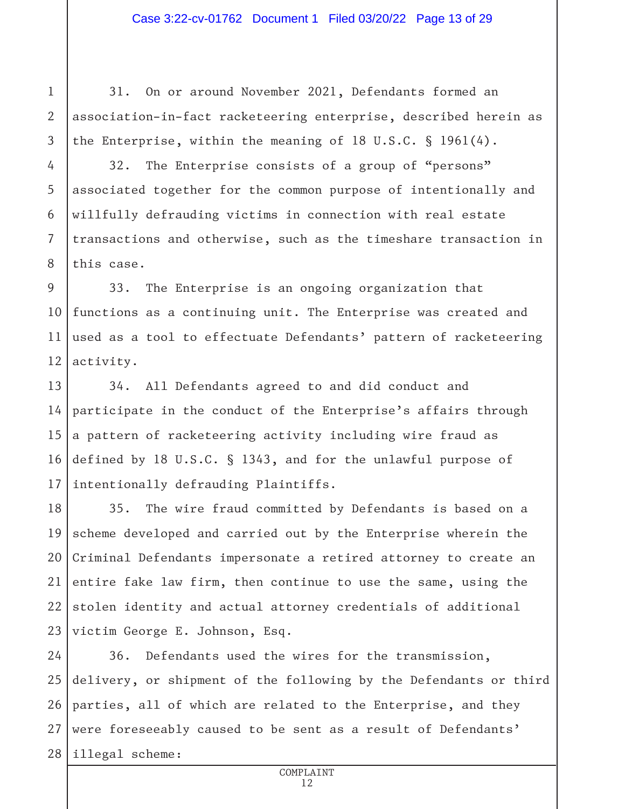#### Case 3:22-cv-01762 Document 1 Filed 03/20/22 Page 13 of 29

31. On or around November 2021, Defendants formed an association-in-fact racketeering enterprise, described herein as the Enterprise, within the meaning of 18 U.S.C. § 1961(4).

4 5

6

7

8

1

2

3

32. The Enterprise consists of a group of "persons" associated together for the common purpose of intentionally and willfully defrauding victims in connection with real estate transactions and otherwise, such as the timeshare transaction in this case.

9 10 11 12 33. The Enterprise is an ongoing organization that functions as a continuing unit. The Enterprise was created and used as a tool to effectuate Defendants' pattern of racketeering activity.

13 14 15 16 17 34. All Defendants agreed to and did conduct and participate in the conduct of the Enterprise's affairs through a pattern of racketeering activity including wire fraud as defined by 18 U.S.C. § 1343, and for the unlawful purpose of intentionally defrauding Plaintiffs.

18 19 20 21 22 23 35. The wire fraud committed by Defendants is based on a scheme developed and carried out by the Enterprise wherein the Criminal Defendants impersonate a retired attorney to create an entire fake law firm, then continue to use the same, using the stolen identity and actual attorney credentials of additional victim George E. Johnson, Esq.

24 25 26 27 28 36. Defendants used the wires for the transmission, delivery, or shipment of the following by the Defendants or third parties, all of which are related to the Enterprise, and they were foreseeably caused to be sent as a result of Defendants' illegal scheme: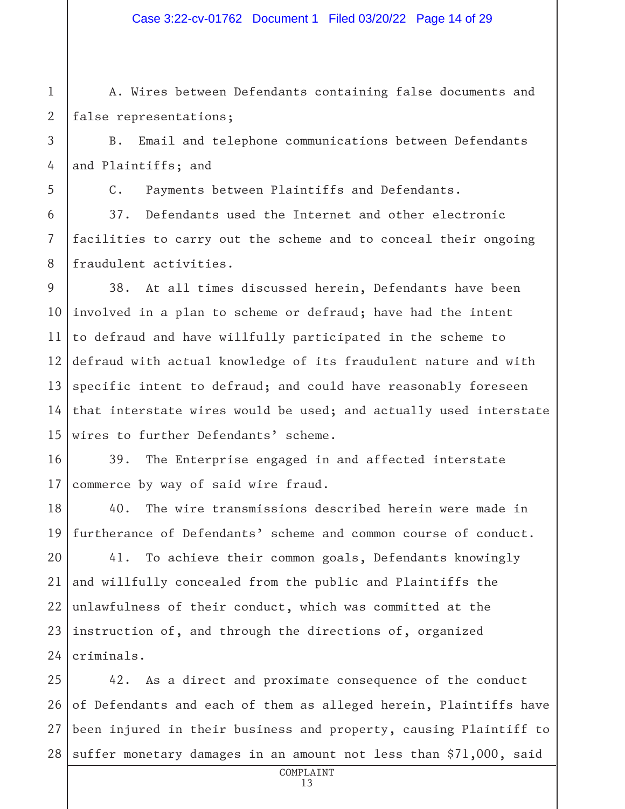#### Case 3:22-cv-01762 Document 1 Filed 03/20/22 Page 14 of 29

A. Wires between Defendants containing false documents and false representations;

B. Email and telephone communications between Defendants and Plaintiffs; and

C. Payments between Plaintiffs and Defendants.

37. Defendants used the Internet and other electronic facilities to carry out the scheme and to conceal their ongoing fraudulent activities.

9 10 11 12 13 14 15 38. At all times discussed herein, Defendants have been involved in a plan to scheme or defraud; have had the intent to defraud and have willfully participated in the scheme to defraud with actual knowledge of its fraudulent nature and with specific intent to defraud; and could have reasonably foreseen that interstate wires would be used; and actually used interstate wires to further Defendants' scheme.

16 17 39. The Enterprise engaged in and affected interstate commerce by way of said wire fraud.

18 19 40. The wire transmissions described herein were made in furtherance of Defendants' scheme and common course of conduct.

20 21 22 23 24 41. To achieve their common goals, Defendants knowingly and willfully concealed from the public and Plaintiffs the unlawfulness of their conduct, which was committed at the instruction of, and through the directions of, organized criminals.

25 26 27 28 42. As a direct and proximate consequence of the conduct of Defendants and each of them as alleged herein, Plaintiffs have been injured in their business and property, causing Plaintiff to suffer monetary damages in an amount not less than \$71,000, said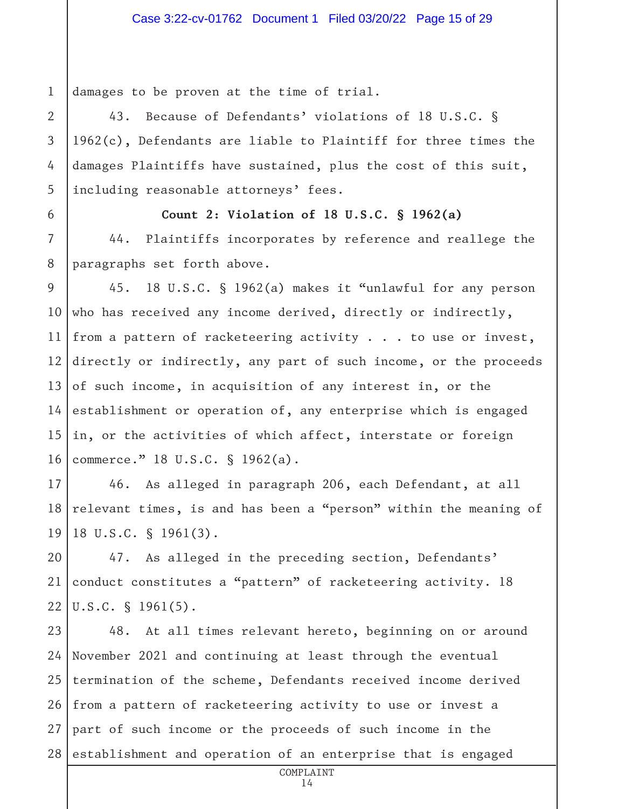1 damages to be proven at the time of trial.

43. Because of Defendants' violations of 18 U.S.C. § 1962(c), Defendants are liable to Plaintiff for three times the damages Plaintiffs have sustained, plus the cost of this suit, including reasonable attorneys' fees.

6 7

2

3

4

5

#### **Count 2: Violation of 18 U.S.C. § 1962(a)**

8 44. Plaintiffs incorporates by reference and reallege the paragraphs set forth above.

9 10 11 12 13 14 15 16 45. 18 U.S.C. § 1962(a) makes it "unlawful for any person who has received any income derived, directly or indirectly, from a pattern of racketeering activity . . . to use or invest, directly or indirectly, any part of such income, or the proceeds of such income, in acquisition of any interest in, or the establishment or operation of, any enterprise which is engaged in, or the activities of which affect, interstate or foreign commerce." 18 U.S.C. § 1962(a).

17 18 19 46. As alleged in paragraph 206, each Defendant, at all relevant times, is and has been a "person" within the meaning of 18 U.S.C. § 1961(3).

20 21 22 47. As alleged in the preceding section, Defendants' conduct constitutes a "pattern" of racketeering activity. 18 U.S.C. § 1961(5).

23 24 25 26 27 28 48. At all times relevant hereto, beginning on or around November 2021 and continuing at least through the eventual termination of the scheme, Defendants received income derived from a pattern of racketeering activity to use or invest a part of such income or the proceeds of such income in the establishment and operation of an enterprise that is engaged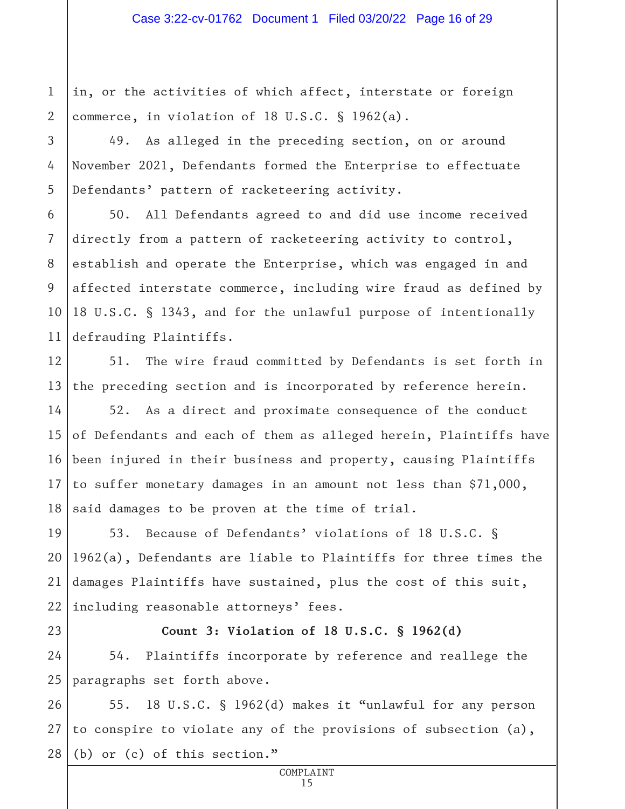1 2 in, or the activities of which affect, interstate or foreign commerce, in violation of 18 U.S.C. § 1962(a).

49. As alleged in the preceding section, on or around November 2021, Defendants formed the Enterprise to effectuate Defendants' pattern of racketeering activity.

6 7 8 9 10 11 50. All Defendants agreed to and did use income received directly from a pattern of racketeering activity to control, establish and operate the Enterprise, which was engaged in and affected interstate commerce, including wire fraud as defined by 18 U.S.C. § 1343, and for the unlawful purpose of intentionally defrauding Plaintiffs.

12 13 51. The wire fraud committed by Defendants is set forth in the preceding section and is incorporated by reference herein.

14 15 16 17 18 52. As a direct and proximate consequence of the conduct of Defendants and each of them as alleged herein, Plaintiffs have been injured in their business and property, causing Plaintiffs to suffer monetary damages in an amount not less than \$71,000, said damages to be proven at the time of trial.

19 20 21 22 53. Because of Defendants' violations of 18 U.S.C. § 1962(a), Defendants are liable to Plaintiffs for three times the damages Plaintiffs have sustained, plus the cost of this suit, including reasonable attorneys' fees.

23

3

4

5

## **Count 3: Violation of 18 U.S.C. § 1962(d)**

24 25 54. Plaintiffs incorporate by reference and reallege the paragraphs set forth above.

26 27 28 55. 18 U.S.C. § 1962(d) makes it "unlawful for any person to conspire to violate any of the provisions of subsection (a), (b) or (c) of this section."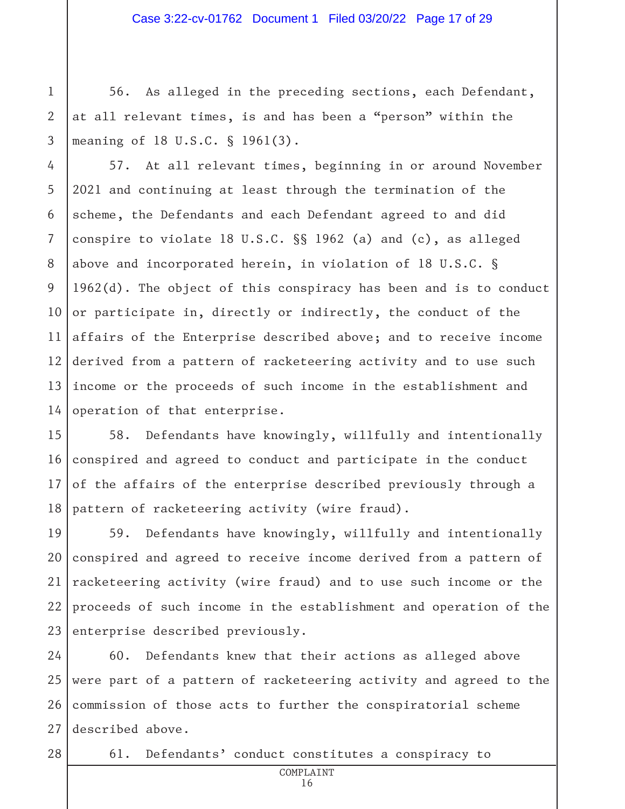56. As alleged in the preceding sections, each Defendant, at all relevant times, is and has been a "person" within the meaning of 18 U.S.C. § 1961(3).

4 5 6 7 8 9 10 11 12 13 14 57. At all relevant times, beginning in or around November 2021 and continuing at least through the termination of the scheme, the Defendants and each Defendant agreed to and did conspire to violate 18 U.S.C. §§ 1962 (a) and (c), as alleged above and incorporated herein, in violation of 18 U.S.C. § 1962(d). The object of this conspiracy has been and is to conduct or participate in, directly or indirectly, the conduct of the affairs of the Enterprise described above; and to receive income derived from a pattern of racketeering activity and to use such income or the proceeds of such income in the establishment and operation of that enterprise.

15 16 17 18 58. Defendants have knowingly, willfully and intentionally conspired and agreed to conduct and participate in the conduct of the affairs of the enterprise described previously through a pattern of racketeering activity (wire fraud).

19 20 21 22 23 59. Defendants have knowingly, willfully and intentionally conspired and agreed to receive income derived from a pattern of racketeering activity (wire fraud) and to use such income or the proceeds of such income in the establishment and operation of the enterprise described previously.

24 25 26 27 60. Defendants knew that their actions as alleged above were part of a pattern of racketeering activity and agreed to the commission of those acts to further the conspiratorial scheme described above.

28

1

2

3

61. Defendants' conduct constitutes a conspiracy to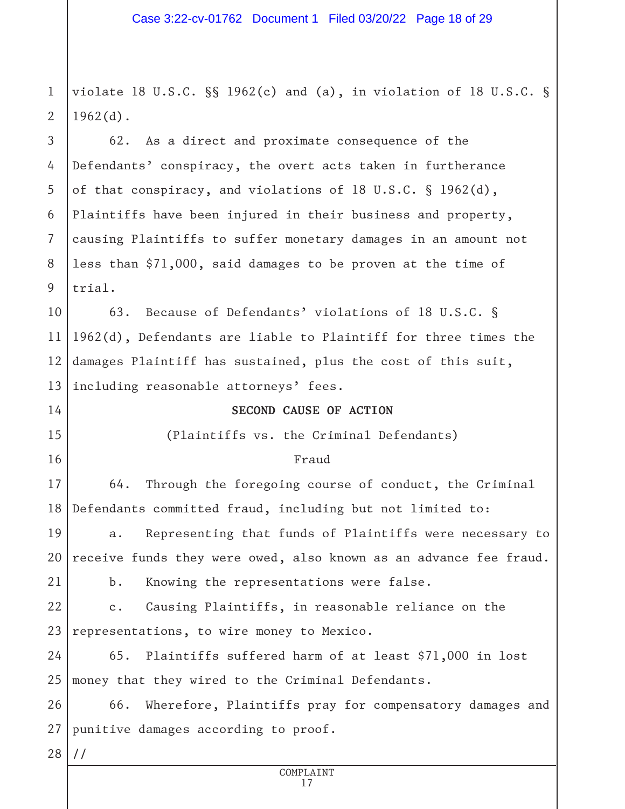1 2 violate 18 U.S.C. §§ 1962(c) and (a), in violation of 18 U.S.C. §  $1962(d)$ .

3 4 5 6 7 8 9 62. As a direct and proximate consequence of the Defendants' conspiracy, the overt acts taken in furtherance of that conspiracy, and violations of 18 U.S.C. § 1962(d), Plaintiffs have been injured in their business and property, causing Plaintiffs to suffer monetary damages in an amount not less than \$71,000, said damages to be proven at the time of trial.

10 11 12 13 63. Because of Defendants' violations of 18 U.S.C. § 1962(d), Defendants are liable to Plaintiff for three times the damages Plaintiff has sustained, plus the cost of this suit, including reasonable attorneys' fees.

#### **SECOND CAUSE OF ACTION**

(Plaintiffs vs. the Criminal Defendants)

#### Fraud

17 18 64. Through the foregoing course of conduct, the Criminal Defendants committed fraud, including but not limited to:

19 20 21 a. Representing that funds of Plaintiffs were necessary to receive funds they were owed, also known as an advance fee fraud. b. Knowing the representations were false.

22 23 c. Causing Plaintiffs, in reasonable reliance on the representations, to wire money to Mexico.

24 25 65. Plaintiffs suffered harm of at least \$71,000 in lost money that they wired to the Criminal Defendants.

26 27 66. Wherefore, Plaintiffs pray for compensatory damages and punitive damages according to proof.

28 //

14

15

16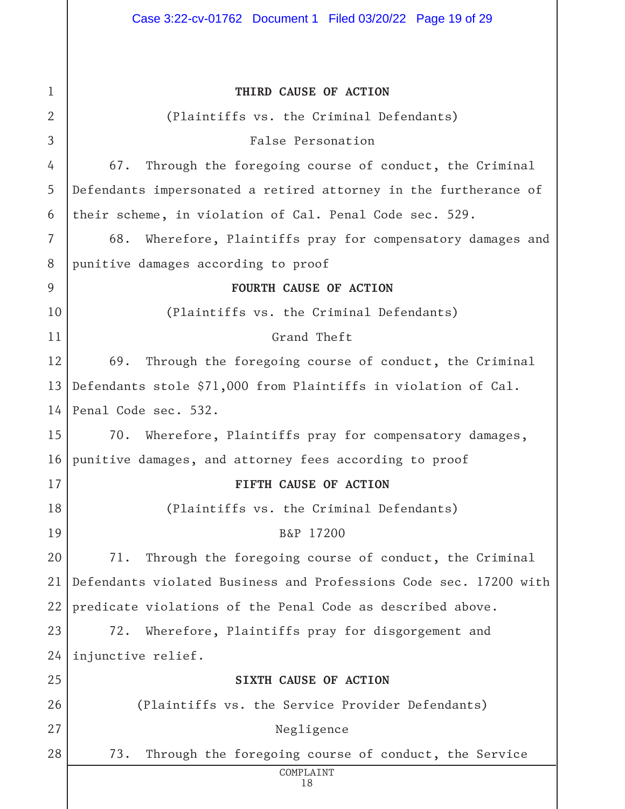| $\mathbf{1}$ | THIRD CAUSE OF ACTION                                             |  |
|--------------|-------------------------------------------------------------------|--|
| 2            | (Plaintiffs vs. the Criminal Defendants)                          |  |
| 3            | False Personation                                                 |  |
| 4            | 67.<br>Through the foregoing course of conduct, the Criminal      |  |
|              |                                                                   |  |
| 5            | Defendants impersonated a retired attorney in the furtherance of  |  |
| 6            | their scheme, in violation of Cal. Penal Code sec. 529.           |  |
| 7            | Wherefore, Plaintiffs pray for compensatory damages and<br>68.    |  |
| 8            | punitive damages according to proof                               |  |
| 9            | FOURTH CAUSE OF ACTION                                            |  |
| 10           | (Plaintiffs vs. the Criminal Defendants)                          |  |
| 11           | Grand Theft                                                       |  |
| 12           | 69.<br>Through the foregoing course of conduct, the Criminal      |  |
| 13           | Defendants stole \$71,000 from Plaintiffs in violation of Cal.    |  |
| 14           | Penal Code sec. 532.                                              |  |
| 15           | 70. Wherefore, Plaintiffs pray for compensatory damages,          |  |
| 16           | punitive damages, and attorney fees according to proof            |  |
| 17           | FIFTH CAUSE OF ACTION                                             |  |
| 18           | (Plaintiffs vs. the Criminal Defendants)                          |  |
| 19           | B&P 17200                                                         |  |
| 20           | 71.<br>Through the foregoing course of conduct, the Criminal      |  |
| 21           | Defendants violated Business and Professions Code sec. 17200 with |  |
| 22           | predicate violations of the Penal Code as described above.        |  |
| 23           | 72.<br>Wherefore, Plaintiffs pray for disgorgement and            |  |
| 24           | injunctive relief.                                                |  |
| 25           | SIXTH CAUSE OF ACTION                                             |  |
| 26           | (Plaintiffs vs. the Service Provider Defendants)                  |  |
| 27           | Negligence                                                        |  |
| 28           | 73.<br>Through the foregoing course of conduct, the Service       |  |
|              | COMPLAINT<br>18                                                   |  |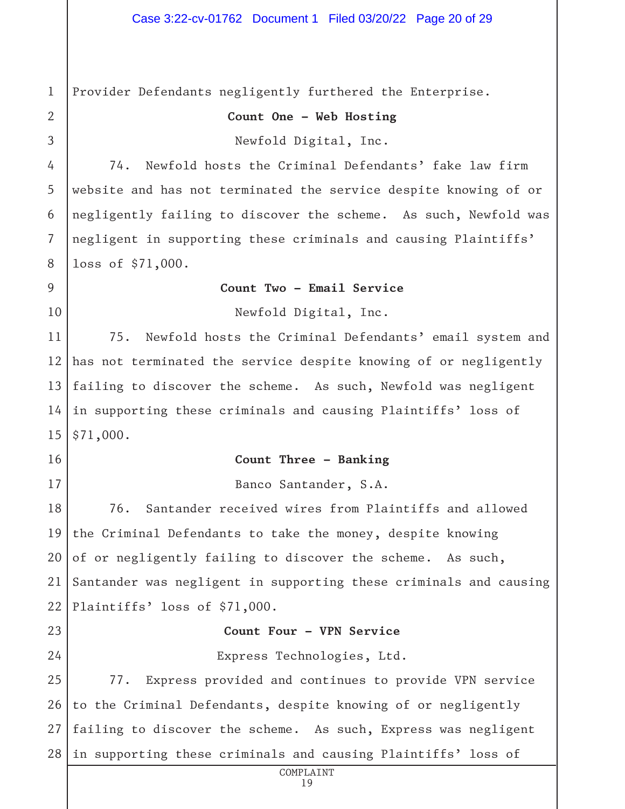1 2 3 4 5 6 7 8 9 10 11 12 13 14 15 16 17 18 19 20 21 22 23 24 25 26 27 28 COMPLAINT Provider Defendants negligently furthered the Enterprise. **Count One – Web Hosting** Newfold Digital, Inc. 74. Newfold hosts the Criminal Defendants' fake law firm website and has not terminated the service despite knowing of or negligently failing to discover the scheme. As such, Newfold was negligent in supporting these criminals and causing Plaintiffs' loss of \$71,000. **Count Two – Email Service** Newfold Digital, Inc. 75. Newfold hosts the Criminal Defendants' email system and has not terminated the service despite knowing of or negligently failing to discover the scheme. As such, Newfold was negligent in supporting these criminals and causing Plaintiffs' loss of \$71,000. **Count Three – Banking** Banco Santander, S.A. 76. Santander received wires from Plaintiffs and allowed the Criminal Defendants to take the money, despite knowing of or negligently failing to discover the scheme. As such, Santander was negligent in supporting these criminals and causing Plaintiffs' loss of \$71,000. **Count Four – VPN Service** Express Technologies, Ltd. 77. Express provided and continues to provide VPN service to the Criminal Defendants, despite knowing of or negligently failing to discover the scheme. As such, Express was negligent in supporting these criminals and causing Plaintiffs' loss of

19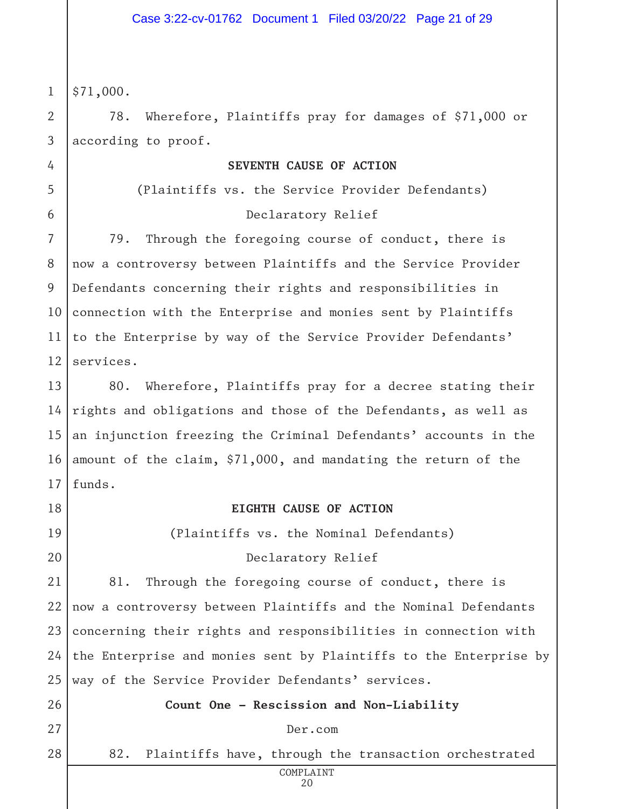1 \$71,000.

2

3

4

5

6

78. Wherefore, Plaintiffs pray for damages of \$71,000 or according to proof.

#### **SEVENTH CAUSE OF ACTION**

(Plaintiffs vs. the Service Provider Defendants)

#### Declaratory Relief

7 8 9 10 11 12 79. Through the foregoing course of conduct, there is now a controversy between Plaintiffs and the Service Provider Defendants concerning their rights and responsibilities in connection with the Enterprise and monies sent by Plaintiffs to the Enterprise by way of the Service Provider Defendants' services.

13 14 15 16 17 80. Wherefore, Plaintiffs pray for a decree stating their rights and obligations and those of the Defendants, as well as an injunction freezing the Criminal Defendants' accounts in the amount of the claim, \$71,000, and mandating the return of the funds.

18

19

20

#### **EIGHTH CAUSE OF ACTION**

(Plaintiffs vs. the Nominal Defendants)

#### Declaratory Relief

21 22 23 24 25 81. Through the foregoing course of conduct, there is now a controversy between Plaintiffs and the Nominal Defendants concerning their rights and responsibilities in connection with the Enterprise and monies sent by Plaintiffs to the Enterprise by way of the Service Provider Defendants' services.

26 27

28

#### Der.com

**Count One – Rescission and Non-Liability**

82. Plaintiffs have, through the transaction orchestrated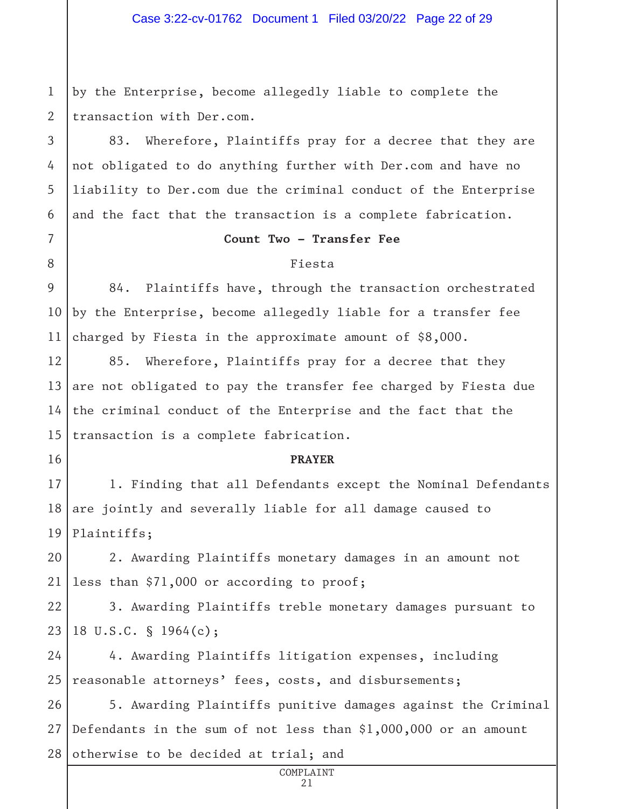1 2 by the Enterprise, become allegedly liable to complete the transaction with Der.com.

3

4

5

6

7

8

16

83. Wherefore, Plaintiffs pray for a decree that they are not obligated to do anything further with Der.com and have no liability to Der.com due the criminal conduct of the Enterprise and the fact that the transaction is a complete fabrication.

#### **Count Two – Transfer Fee**

#### Fiesta

9 10 11 84. Plaintiffs have, through the transaction orchestrated by the Enterprise, become allegedly liable for a transfer fee charged by Fiesta in the approximate amount of \$8,000.

12 13 14 15 85. Wherefore, Plaintiffs pray for a decree that they are not obligated to pay the transfer fee charged by Fiesta due the criminal conduct of the Enterprise and the fact that the transaction is a complete fabrication.

#### **PRAYER**

17 18 19 1. Finding that all Defendants except the Nominal Defendants are jointly and severally liable for all damage caused to Plaintiffs;

20 21 2. Awarding Plaintiffs monetary damages in an amount not less than \$71,000 or according to proof;

22 23 3. Awarding Plaintiffs treble monetary damages pursuant to 18 U.S.C. § 1964(c);

24 25 4. Awarding Plaintiffs litigation expenses, including reasonable attorneys' fees, costs, and disbursements;

26 27 28 5. Awarding Plaintiffs punitive damages against the Criminal Defendants in the sum of not less than \$1,000,000 or an amount otherwise to be decided at trial; and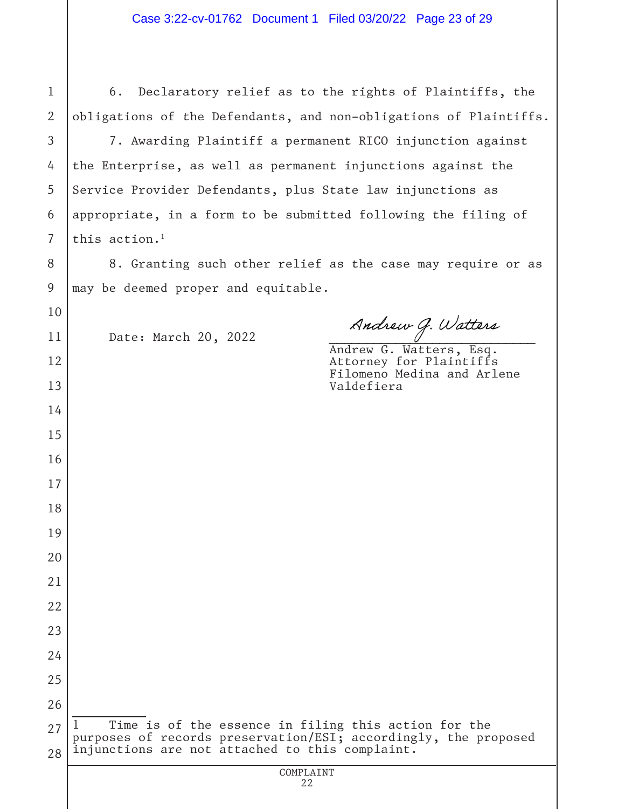| $\mathbf{1}$   | Declaratory relief as to the rights of Plaintiffs, the<br>6.                                                                                                               |
|----------------|----------------------------------------------------------------------------------------------------------------------------------------------------------------------------|
| $\overline{2}$ | obligations of the Defendants, and non-obligations of Plaintiffs.                                                                                                          |
| 3              | 7. Awarding Plaintiff a permanent RICO injunction against                                                                                                                  |
| 4              | the Enterprise, as well as permanent injunctions against the                                                                                                               |
| 5              | Service Provider Defendants, plus State law injunctions as                                                                                                                 |
| 6              | appropriate, in a form to be submitted following the filing of                                                                                                             |
| $\overline{7}$ | this action. <sup>1</sup>                                                                                                                                                  |
| 8              | 8. Granting such other relief as the case may require or as                                                                                                                |
| 9              | may be deemed proper and equitable.                                                                                                                                        |
| 10             |                                                                                                                                                                            |
| 11             | Andrew G. Watters<br>Date: March 20, 2022<br>Andrew G. Watters, Esq.                                                                                                       |
| 12             | Attorney for Plaintiffs<br>Filomeno Medina and Arlene                                                                                                                      |
| 13             | Valdefiera                                                                                                                                                                 |
| 14             |                                                                                                                                                                            |
| 15             |                                                                                                                                                                            |
| 16             |                                                                                                                                                                            |
| 17             |                                                                                                                                                                            |
| 18             |                                                                                                                                                                            |
| 19             |                                                                                                                                                                            |
| 20             |                                                                                                                                                                            |
| 21             |                                                                                                                                                                            |
| 22             |                                                                                                                                                                            |
| 23             |                                                                                                                                                                            |
| 24             |                                                                                                                                                                            |
| 25             |                                                                                                                                                                            |
| 26             |                                                                                                                                                                            |
| 27<br>28       | Time is of the essence in filing this action for the<br>purposes of records preservation/ESI; accordingly, the proposed<br>injunctions are not attached to this complaint. |
|                | COMPLAINT                                                                                                                                                                  |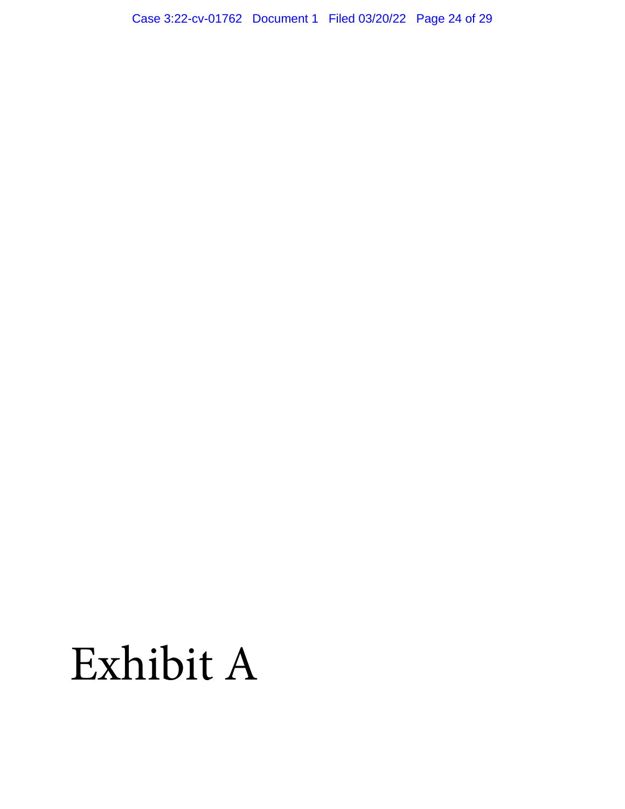Case 3:22-cv-01762 Document 1 Filed 03/20/22 Page 24 of 29

# Exhibit A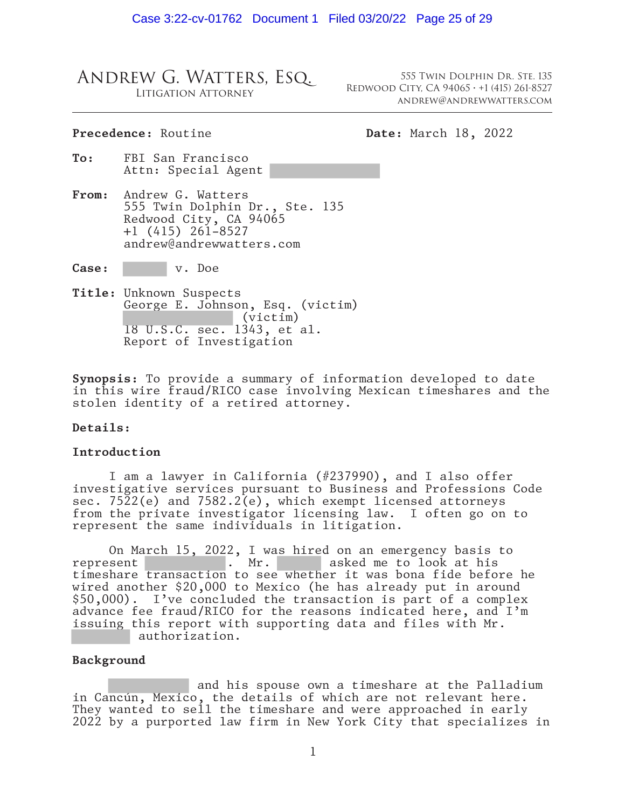#### Andrew G. Watters, Esq. Litigation Attorney

555 Twin Dolphin Dr. Ste. 135 Redwood City, CA 94065 ∙ +1 (415) 261-8527 andrew@andrewwatters.com

#### Precedence: Routine **Date:** March 18, 2022

- **To:** FBI San Francisco Attn: Special Agent
- **From:** Andrew G. Watters 555 Twin Dolphin Dr., Ste. 135 Redwood City, CA 94065 +1 (415) 261-8527 andrew@andrewwatters.com

**Case:** v. Doe

**Title:** Unknown Suspects George E. Johnson, Esq. (victim) (victim) 18 U.S.C. sec. 1343, et al. Report of Investigation

**Synopsis:** To provide a summary of information developed to date in this wire fraud/RICO case involving Mexican timeshares and the stolen identity of a retired attorney.

#### **Details:**

#### **Introduction**

I am a lawyer in California (#237990), and I also offer investigative services pursuant to Business and Professions Code sec. 7522(e) and 7582.2(e), which exempt licensed attorneys from the private investigator licensing law. I often go on to represent the same individuals in litigation.

On March 15, 2022, I was hired on an emergency basis to represent . Mr. asked me to look at his timeshare transaction to see whether it was bona fide before he wired another \$20,000 to Mexico (he has already put in around \$50,000). I've concluded the transaction is part of a complex advance fee fraud/RICO for the reasons indicated here, and I'm issuing this report with supporting data and files with Mr. authorization.

#### **Background**

 and his spouse own a timeshare at the Palladium in Cancún, Mexico, the details of which are not relevant here. They wanted to sell the timeshare and were approached in early 2022 by a purported law firm in New York City that specializes in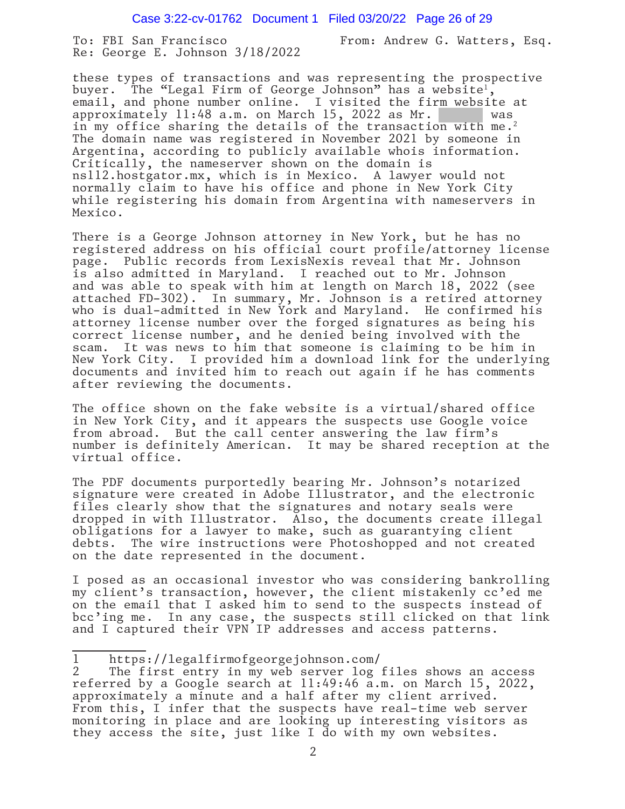To: FBI San Francisco From: Andrew G. Watters, Esq. Re: George E. Johnson 3/18/2022

these types of transactions and was representing the prospective<br>buyer. The "Legal Firm of George Johnson" has a website<sup>1</sup>, email, and phone number online. I visited the firm website at approximately 11:48 a.m. on March 15, 2022 as Mr. in my office sharing the details of the transaction with me.2 The domain name was registered in November 2021 by someone in Argentina, according to publicly available whois information. Critically, the nameserver shown on the domain is ns112.hostgator.mx, which is in Mexico. A lawyer would not normally claim to have his office and phone in New York City while registering his domain from Argentina with nameservers in Mexico.

There is a George Johnson attorney in New York, but he has no registered address on his official court profile/attorney license page. Public records from LexisNexis reveal that Mr. Johnson is also admitted in Maryland. I reached out to Mr. Johnson and was able to speak with him at length on March 18, 2022 (see attached FD-302). In summary, Mr. Johnson is a retired attorney who is dual-admitted in New York and Maryland. He confirmed his attorney license number over the forged signatures as being his correct license number, and he denied being involved with the scam. It was news to him that someone is claiming to be him in New York City. I provided him a download link for the underlying documents and invited him to reach out again if he has comments after reviewing the documents.

The office shown on the fake website is a virtual/shared office in New York City, and it appears the suspects use Google voice from abroad. But the call center answering the law firm's number is definitely American. It may be shared reception at the virtual office.

The PDF documents purportedly bearing Mr. Johnson's notarized signature were created in Adobe Illustrator, and the electronic files clearly show that the signatures and notary seals were dropped in with Illustrator. Also, the documents create illegal obligations for a lawyer to make, such as guarantying client debts. The wire instructions were Photoshopped and not created on the date represented in the document.

I posed as an occasional investor who was considering bankrolling my client's transaction, however, the client mistakenly cc'ed me on the email that I asked him to send to the suspects instead of bcc'ing me. In any case, the suspects still clicked on that link and I captured their VPN IP addresses and access patterns.

<sup>1</sup> https://legalfirmofgeorgejohnson.com/

<sup>2</sup> The first entry in my web server log files shows an access referred by a Google search at 11:49:46 a.m. on March 15, 2022, approximately a minute and a half after my client arrived. From this, I infer that the suspects have real-time web server monitoring in place and are looking up interesting visitors as they access the site, just like I do with my own websites.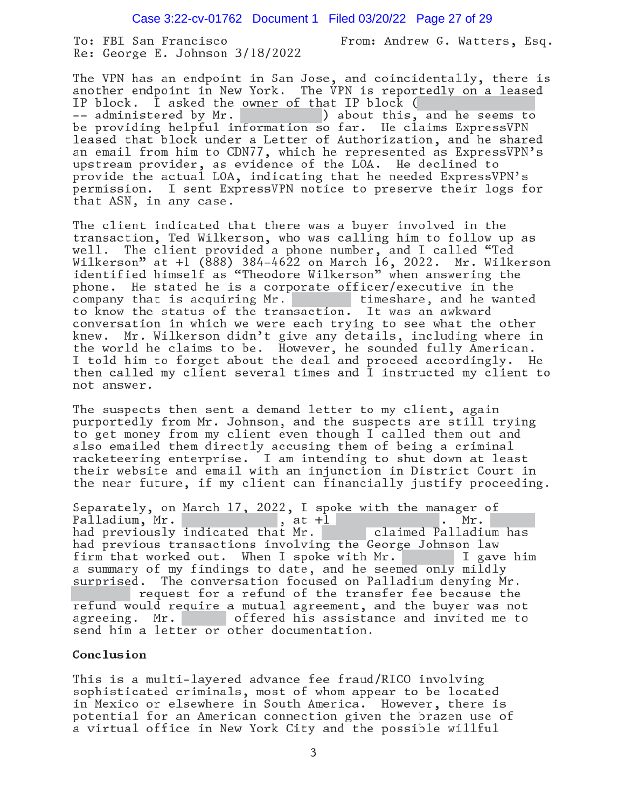Case 3:22-cv-01762 Document 1 Filed 03/20/22 Page 27 of 29

To: FBI San Francisco Re: George E. Johnson 3/18/2022 From: Andrew G. Watters, Esq.

The VPN has an endpoint in San Jose, and coincidentally, there is another endpoint in New York. The VPN is reportedly on a leased  $\dot{I}$  asked the owner of that IP block ( IP block. -- administered by Mr. (a) about this, and he seems to be providing helpful information so far. He claims ExpressVPN leased that block under a Letter of Authorization, and he shared<br>an email from him to CDN77, which he represented as ExpressVPN's upstream provider, as evidence of the LOA. He declined to provide the actual LOA, indicating that he needed ExpressVPN's permission. I sent ExpressVPN notice to preserve their logs for that ASN, in any case.

The client indicated that there was a buyer involved in the transaction, Ted Wilkerson, who was calling him to follow up as The client provided a phone number, and I called "Ted  $we11.$ Wilkerson" at +1 (888) 384-4622 on March 16, 2022. Mr. Wilkerson identified himself as "Theodore Wilkerson" when answering the phone. He stated he is a corporate officer/executive in the timeshare, and he wanted company that is acquiring Mr. to know the status of the transaction. It was an awkward conversation in which we were each trying to see what the other Mr. Wilkerson didn't give any details, including where in knew. the world he claims to be. However, he sounded fully American. I told him to forget about the deal and proceed accordingly. He then called my client several times and  $\overline{1}$  instructed my client to not answer.

The suspects then sent a demand letter to my client, again purportedly from Mr. Johnson, and the suspects are still trying to get money from my client even though I called them out and also emailed them directly accusing them of being a criminal racketeering enterprise. I am intending to shut down at least their website and email with an injunction in District Court in the near future, if my client can financially justify proceeding.

Separately, on March 17, 2022, I spoke with the manager of Palladium, Mr.<br>had previously indicated that Mr. claimed Palladium has had previous transactions involving the George Johnson law firm that worked out. When I spoke with Mr. I gave him a summary of my findings to date, and he seemed only mildly surprised. The conversation focused on Palladium denying Mr. request for a refund of the transfer fee because the refund would require a mutual agreement, and the buyer was not offered his assistance and invited me to agreeing. Mr. send him a letter or other documentation.

#### Conclusion

This is a multi-layered advance fee fraud/RICO involving sophisticated criminals, most of whom appear to be located in Mexico or elsewhere in South America. However, there is potential for an American connection given the brazen use of a virtual office in New York City and the possible willful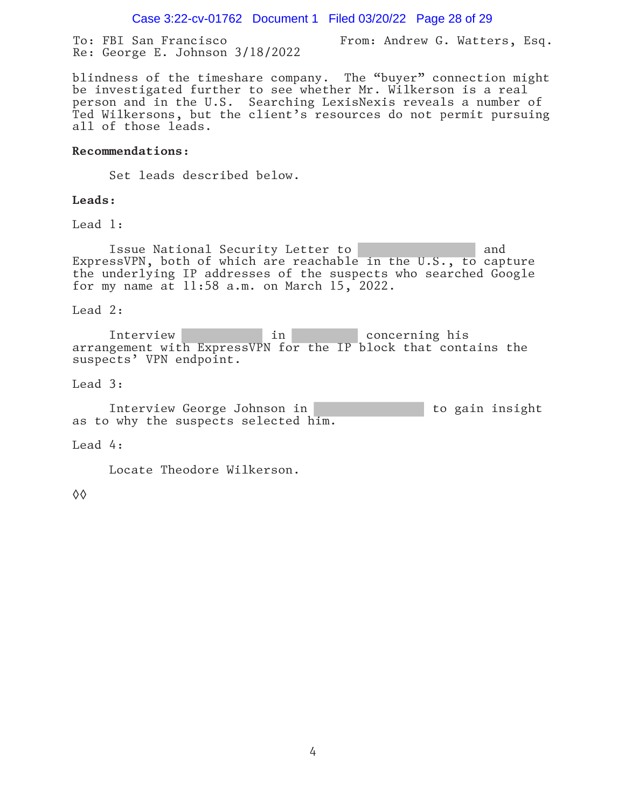Case 3:22-cv-01762 Document 1 Filed 03/20/22 Page 28 of 29

To: FBI San Francisco From: Andrew G. Watters, Esq. Re: George E. Johnson 3/18/2022

blindness of the timeshare company. The "buyer" connection might be investigated further to see whether Mr. Wilkerson is a real person and in the U.S. Searching LexisNexis reveals a number of Ted Wilkersons, but the client's resources do not permit pursuing all of those leads.

#### **Recommendations:**

Set leads described below.

#### **Leads:**

Lead 1:

Issue National Security Letter to and and ExpressVPN, both of which are reachable in the U.S., to capture the underlying IP addresses of the suspects who searched Google for my name at 11:58 a.m. on March 15, 2022.

#### Lead 2:

Interview in in concerning his arrangement with ExpressVPN for the IP block that contains the suspects' VPN endpoint.

#### Lead 3:

Interview George Johnson in to gain insight as to why the suspects selected him.

#### Lead 4:

Locate Theodore Wilkerson.

◊◊